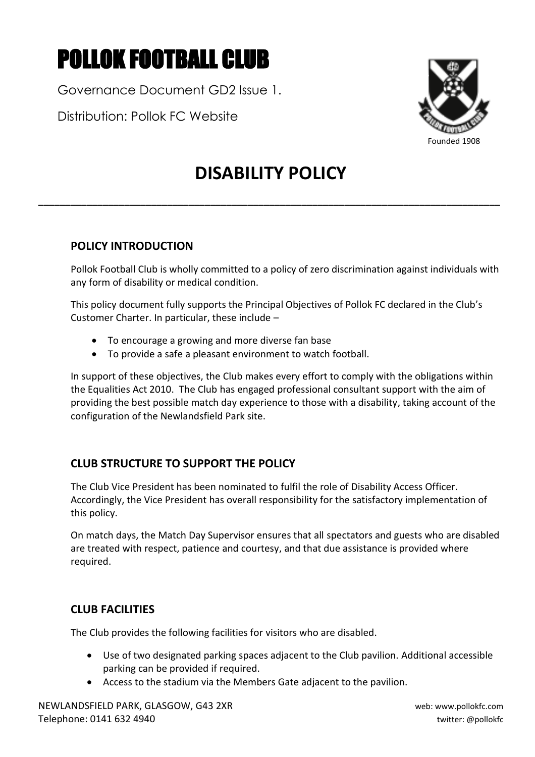# POLLOK FOOTBALL CLUB

Governance Document GD2 Issue 1.

Distribution: Pollok FC Website



# **DISABILITY POLICY**

**\_\_\_\_\_\_\_\_\_\_\_\_\_\_\_\_\_\_\_\_\_\_\_\_\_\_\_\_\_\_\_\_\_\_\_\_\_\_\_\_\_\_\_\_\_\_\_\_\_\_\_\_\_\_\_\_\_\_\_\_\_\_\_\_\_\_\_\_\_\_\_\_\_\_\_\_\_\_\_\_\_\_\_\_\_\_**

# **POLICY INTRODUCTION**

Pollok Football Club is wholly committed to a policy of zero discrimination against individuals with any form of disability or medical condition.

This policy document fully supports the Principal Objectives of Pollok FC declared in the Club's Customer Charter. In particular, these include –

- To encourage a growing and more diverse fan base
- To provide a safe a pleasant environment to watch football.

In support of these objectives, the Club makes every effort to comply with the obligations within the Equalities Act 2010. The Club has engaged professional consultant support with the aim of providing the best possible match day experience to those with a disability, taking account of the configuration of the Newlandsfield Park site.

# **CLUB STRUCTURE TO SUPPORT THE POLICY**

The Club Vice President has been nominated to fulfil the role of Disability Access Officer. Accordingly, the Vice President has overall responsibility for the satisfactory implementation of this policy.

On match days, the Match Day Supervisor ensures that all spectators and guests who are disabled are treated with respect, patience and courtesy, and that due assistance is provided where required.

# **CLUB FACILITIES**

The Club provides the following facilities for visitors who are disabled.

- Use of two designated parking spaces adjacent to the Club pavilion. Additional accessible parking can be provided if required.
- Access to the stadium via the Members Gate adjacent to the pavilion.